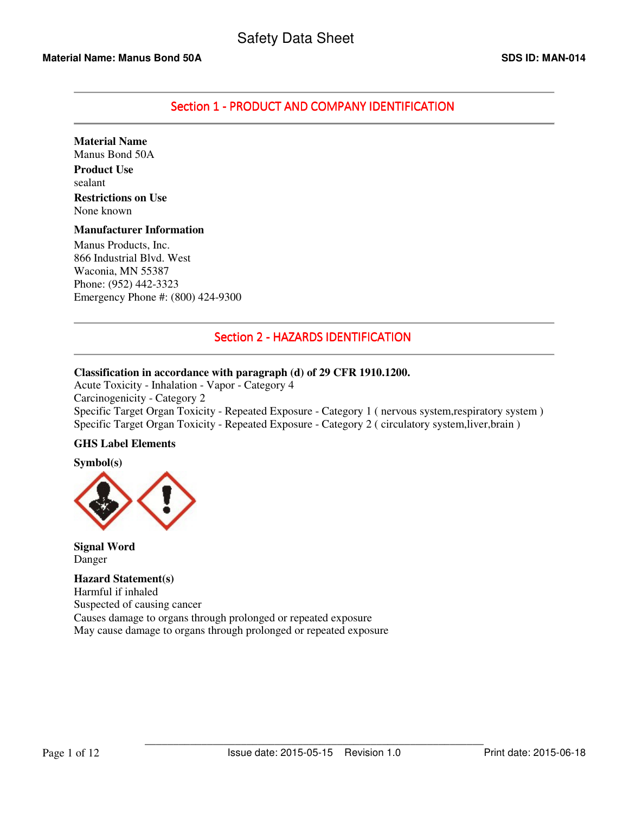# Section 1 - PRODUCT AND COMPANY IDENTIFICATION

**Material Name**  Manus Bond 50A

**Product Use**  sealant **Restrictions on Use**  None known

#### **Manufacturer Information**

Manus Products, Inc. 866 Industrial Blvd. West Waconia, MN 55387 Phone: (952) 442-3323 Emergency Phone #: (800) 424-9300

# Section 2 - HAZARDS IDENTIFICATION

# **Classification in accordance with paragraph (d) of 29 CFR 1910.1200.**

Acute Toxicity - Inhalation - Vapor - Category 4 Carcinogenicity - Category 2 Specific Target Organ Toxicity - Repeated Exposure - Category 1 ( nervous system,respiratory system ) Specific Target Organ Toxicity - Repeated Exposure - Category 2 ( circulatory system,liver,brain )

# **GHS Label Elements**

**Symbol(s)** 



**Signal Word**  Danger

**Hazard Statement(s)**  Harmful if inhaled Suspected of causing cancer Causes damage to organs through prolonged or repeated exposure May cause damage to organs through prolonged or repeated exposure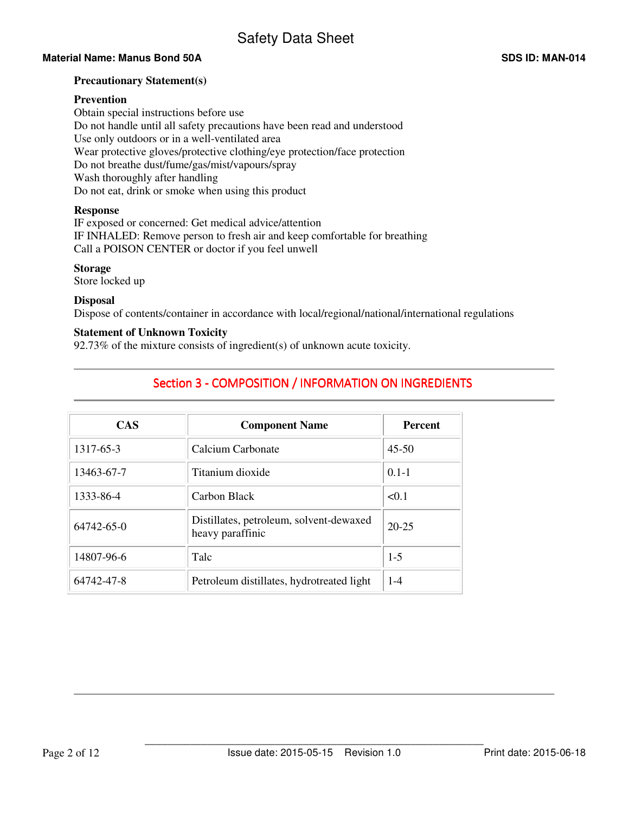# **Material Name: Manus Bond 50A SDS ID: MAN-014 SDS ID: MAN-014**

#### **Precautionary Statement(s)**

## **Prevention**

Obtain special instructions before use Do not handle until all safety precautions have been read and understood Use only outdoors or in a well-ventilated area Wear protective gloves/protective clothing/eye protection/face protection Do not breathe dust/fume/gas/mist/vapours/spray Wash thoroughly after handling Do not eat, drink or smoke when using this product

### **Response**

IF exposed or concerned: Get medical advice/attention IF INHALED: Remove person to fresh air and keep comfortable for breathing Call a POISON CENTER or doctor if you feel unwell

### **Storage**

Store locked up

#### **Disposal**

Dispose of contents/container in accordance with local/regional/national/international regulations

### **Statement of Unknown Toxicity**

92.73% of the mixture consists of ingredient(s) of unknown acute toxicity.

# Section 3 - COMPOSITION / INFORMATION ON INGREDIENTS

| <b>CAS</b> | <b>Component Name</b>                                       | <b>Percent</b> |
|------------|-------------------------------------------------------------|----------------|
| 1317-65-3  | Calcium Carbonate                                           | $45 - 50$      |
| 13463-67-7 | Titanium dioxide                                            | $0.1 - 1$      |
| 1333-86-4  | Carbon Black                                                | < 0.1          |
| 64742-65-0 | Distillates, petroleum, solvent-dewaxed<br>heavy paraffinic | $20 - 25$      |
| 14807-96-6 | Talc                                                        | $1-5$          |
| 64742-47-8 | Petroleum distillates, hydrotreated light                   | $1 - 4$        |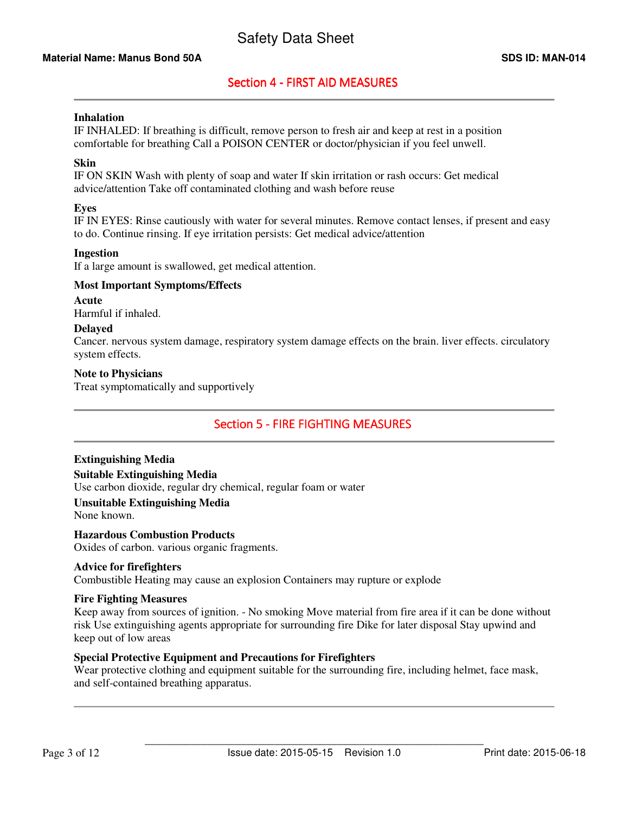# Section 4 - FIRST AID MEASURES

## **Inhalation**

IF INHALED: If breathing is difficult, remove person to fresh air and keep at rest in a position comfortable for breathing Call a POISON CENTER or doctor/physician if you feel unwell.

## **Skin**

IF ON SKIN Wash with plenty of soap and water If skin irritation or rash occurs: Get medical advice/attention Take off contaminated clothing and wash before reuse

## **Eyes**

IF IN EYES: Rinse cautiously with water for several minutes. Remove contact lenses, if present and easy to do. Continue rinsing. If eye irritation persists: Get medical advice/attention

### **Ingestion**

If a large amount is swallowed, get medical attention.

### **Most Important Symptoms/Effects**

**Acute** 

Harmful if inhaled.

### **Delayed**

Cancer. nervous system damage, respiratory system damage effects on the brain. liver effects. circulatory system effects.

#### **Note to Physicians**

Treat symptomatically and supportively

# Section 5 - FIRE FIGHTING MEASURES

# **Extinguishing Media**

**Suitable Extinguishing Media** 

Use carbon dioxide, regular dry chemical, regular foam or water

### **Unsuitable Extinguishing Media**

None known.

#### **Hazardous Combustion Products**

Oxides of carbon. various organic fragments.

# **Advice for firefighters**

Combustible Heating may cause an explosion Containers may rupture or explode

#### **Fire Fighting Measures**

Keep away from sources of ignition. - No smoking Move material from fire area if it can be done without risk Use extinguishing agents appropriate for surrounding fire Dike for later disposal Stay upwind and keep out of low areas

# **Special Protective Equipment and Precautions for Firefighters**

Wear protective clothing and equipment suitable for the surrounding fire, including helmet, face mask, and self-contained breathing apparatus.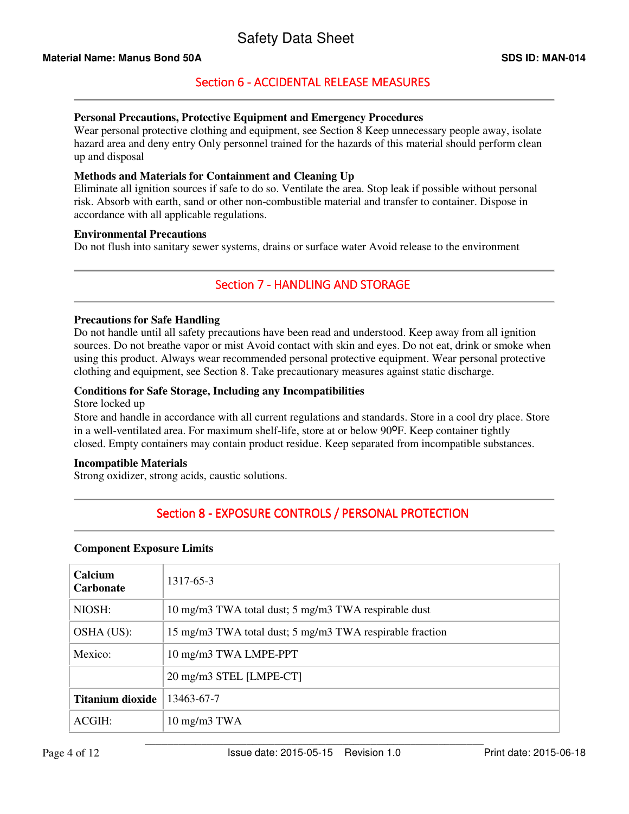# Section 6 - ACCIDENTAL RELEASE MEASURES

# **Personal Precautions, Protective Equipment and Emergency Procedures**

Wear personal protective clothing and equipment, see Section 8 Keep unnecessary people away, isolate hazard area and deny entry Only personnel trained for the hazards of this material should perform clean up and disposal

## **Methods and Materials for Containment and Cleaning Up**

Eliminate all ignition sources if safe to do so. Ventilate the area. Stop leak if possible without personal risk. Absorb with earth, sand or other non-combustible material and transfer to container. Dispose in accordance with all applicable regulations.

#### **Environmental Precautions**

Do not flush into sanitary sewer systems, drains or surface water Avoid release to the environment

# Section 7 - HANDLING AND STORAGE

### **Precautions for Safe Handling**

Do not handle until all safety precautions have been read and understood. Keep away from all ignition sources. Do not breathe vapor or mist Avoid contact with skin and eyes. Do not eat, drink or smoke when using this product. Always wear recommended personal protective equipment. Wear personal protective clothing and equipment, see Section 8. Take precautionary measures against static discharge.

### **Conditions for Safe Storage, Including any Incompatibilities**

## Store locked up

Store and handle in accordance with all current regulations and standards. Store in a cool dry place. Store in a well-ventilated area. For maximum shelf-life, store at or below 90<sup>o</sup>F. Keep container tightly closed. Empty containers may contain product residue. Keep separated from incompatible substances.

#### **Incompatible Materials**

Strong oxidizer, strong acids, caustic solutions.

# Section 8 - EXPOSURE CONTROLS / PERSONAL PROTECTION

#### **Component Exposure Limits**

| Calcium<br><b>Carbonate</b> | 1317-65-3                                                |
|-----------------------------|----------------------------------------------------------|
| NIOSH:                      | 10 mg/m3 TWA total dust; 5 mg/m3 TWA respirable dust     |
| OSHA (US):                  | 15 mg/m3 TWA total dust; 5 mg/m3 TWA respirable fraction |
| Mexico:                     | 10 mg/m3 TWA LMPE-PPT                                    |
|                             | 20 mg/m3 STEL [LMPE-CT]                                  |
| <b>Titanium dioxide</b>     | 13463-67-7                                               |
| ACGIH:                      | $10 \text{ mg/m}$ $3 \text{ TWA}$                        |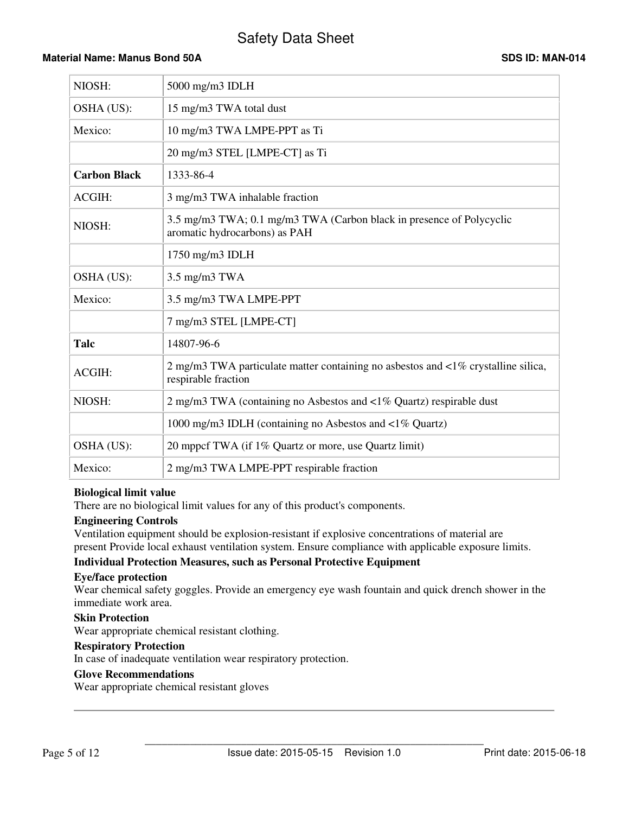# Safety Data Sheet

# **Material Name: Manus Bond 50A SDS ID: MAN-014 SDS ID: MAN-014**

| NIOSH:              | $5000$ mg/m $3$ IDLH                                                                                     |
|---------------------|----------------------------------------------------------------------------------------------------------|
| OSHA (US):          | 15 mg/m3 TWA total dust                                                                                  |
| Mexico:             | 10 mg/m3 TWA LMPE-PPT as Ti                                                                              |
|                     | 20 mg/m3 STEL [LMPE-CT] as Ti                                                                            |
| <b>Carbon Black</b> | 1333-86-4                                                                                                |
| ACGIH:              | 3 mg/m3 TWA inhalable fraction                                                                           |
| NIOSH:              | 3.5 mg/m3 TWA; 0.1 mg/m3 TWA (Carbon black in presence of Polycyclic<br>aromatic hydrocarbons) as PAH    |
|                     | 1750 mg/m3 IDLH                                                                                          |
| OSHA (US):          | $3.5$ mg/m $3$ TWA                                                                                       |
| Mexico:             | 3.5 mg/m3 TWA LMPE-PPT                                                                                   |
|                     | 7 mg/m3 STEL [LMPE-CT]                                                                                   |
| Talc                | 14807-96-6                                                                                               |
| <b>ACGIH:</b>       | 2 mg/m3 TWA particulate matter containing no asbestos and <1% crystalline silica,<br>respirable fraction |
| NIOSH:              | 2 mg/m3 TWA (containing no Asbestos and $\langle 1\%$ Quartz) respirable dust                            |
|                     | 1000 mg/m3 IDLH (containing no Asbestos and $\langle 1\%$ Quartz)                                        |
| OSHA (US):          | 20 mppcf TWA (if 1% Quartz or more, use Quartz limit)                                                    |
| Mexico:             | 2 mg/m3 TWA LMPE-PPT respirable fraction                                                                 |

#### **Biological limit value**

There are no biological limit values for any of this product's components.

#### **Engineering Controls**

Ventilation equipment should be explosion-resistant if explosive concentrations of material are present Provide local exhaust ventilation system. Ensure compliance with applicable exposure limits.

# **Individual Protection Measures, such as Personal Protective Equipment**

### **Eye/face protection**

Wear chemical safety goggles. Provide an emergency eye wash fountain and quick drench shower in the immediate work area.

#### **Skin Protection**

Wear appropriate chemical resistant clothing.

# **Respiratory Protection**

In case of inadequate ventilation wear respiratory protection.

# **Glove Recommendations**

Wear appropriate chemical resistant gloves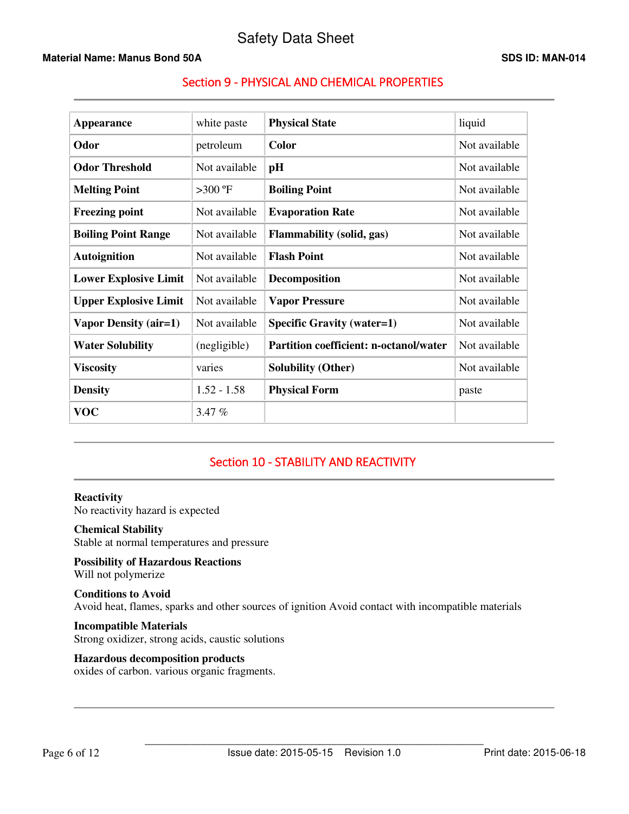# **Material Name: Manus Bond 50A SDS ID: MAN-014 SDS ID: MAN-014**

# Section 9 - PHYSICAL AND CHEMICAL PROPERTIES

| Appearance                   | white paste   | <b>Physical State</b>                         | liquid        |
|------------------------------|---------------|-----------------------------------------------|---------------|
| Odor                         | petroleum     | <b>Color</b>                                  | Not available |
| <b>Odor Threshold</b>        | Not available | pH                                            | Not available |
| <b>Melting Point</b>         | $>300$ °F     | <b>Boiling Point</b>                          | Not available |
| <b>Freezing point</b>        | Not available | <b>Evaporation Rate</b>                       | Not available |
| <b>Boiling Point Range</b>   | Not available | <b>Flammability (solid, gas)</b>              | Not available |
| <b>Autoignition</b>          | Not available | <b>Flash Point</b>                            | Not available |
| <b>Lower Explosive Limit</b> | Not available | Decomposition                                 | Not available |
| <b>Upper Explosive Limit</b> | Not available | <b>Vapor Pressure</b>                         | Not available |
| Vapor Density (air=1)        | Not available | <b>Specific Gravity (water=1)</b>             | Not available |
| <b>Water Solubility</b>      | (negligible)  | <b>Partition coefficient: n-octanol/water</b> | Not available |
| <b>Viscosity</b>             | varies        | <b>Solubility (Other)</b>                     | Not available |
| <b>Density</b>               | $1.52 - 1.58$ | <b>Physical Form</b>                          | paste         |
| <b>VOC</b>                   | 3.47%         |                                               |               |

# Section 10 - STABILITY AND REACTIVITY

**Reactivity**  No reactivity hazard is expected

# **Chemical Stability**

Stable at normal temperatures and pressure

**Possibility of Hazardous Reactions**  Will not polymerize

### **Conditions to Avoid**  Avoid heat, flames, sparks and other sources of ignition Avoid contact with incompatible materials

**Incompatible Materials**  Strong oxidizer, strong acids, caustic solutions

# **Hazardous decomposition products**

oxides of carbon. various organic fragments.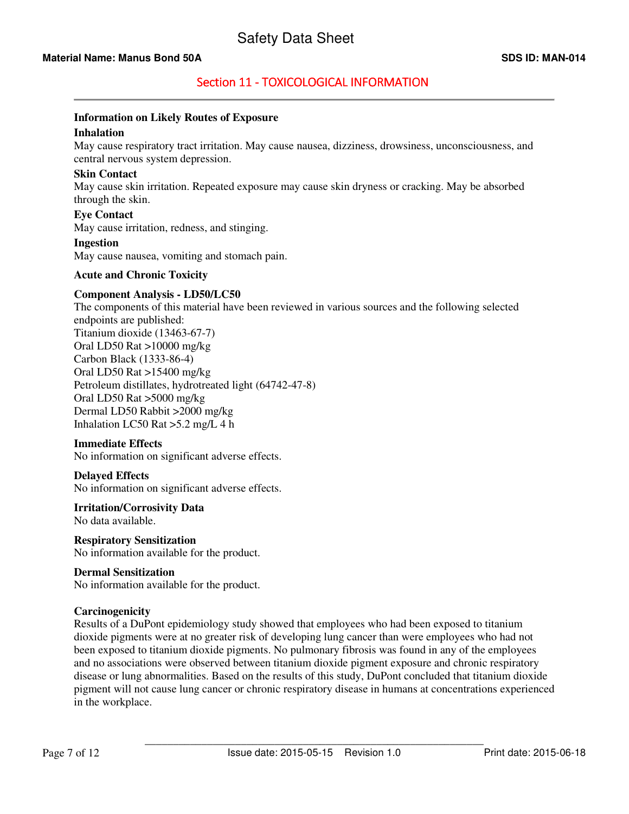# Section 11 - TOXICOLOGICAL INFORMATION

## **Information on Likely Routes of Exposure**

#### **Inhalation**

May cause respiratory tract irritation. May cause nausea, dizziness, drowsiness, unconsciousness, and central nervous system depression.

#### **Skin Contact**

May cause skin irritation. Repeated exposure may cause skin dryness or cracking. May be absorbed through the skin.

#### **Eye Contact**

May cause irritation, redness, and stinging.

#### **Ingestion**

May cause nausea, vomiting and stomach pain.

#### **Acute and Chronic Toxicity**

### **Component Analysis - LD50/LC50**

The components of this material have been reviewed in various sources and the following selected endpoints are published: Titanium dioxide (13463-67-7) Oral LD50 Rat >10000 mg/kg Carbon Black (1333-86-4) Oral LD50 Rat >15400 mg/kg Petroleum distillates, hydrotreated light (64742-47-8) Oral LD50 Rat >5000 mg/kg Dermal LD50 Rabbit >2000 mg/kg Inhalation LC50 Rat >5.2 mg/L 4 h

## **Immediate Effects**

No information on significant adverse effects.

#### **Delayed Effects**

No information on significant adverse effects.

# **Irritation/Corrosivity Data**

No data available.

**Respiratory Sensitization**  No information available for the product.

#### **Dermal Sensitization**

No information available for the product.

#### **Carcinogenicity**

Results of a DuPont epidemiology study showed that employees who had been exposed to titanium dioxide pigments were at no greater risk of developing lung cancer than were employees who had not been exposed to titanium dioxide pigments. No pulmonary fibrosis was found in any of the employees and no associations were observed between titanium dioxide pigment exposure and chronic respiratory disease or lung abnormalities. Based on the results of this study, DuPont concluded that titanium dioxide pigment will not cause lung cancer or chronic respiratory disease in humans at concentrations experienced in the workplace.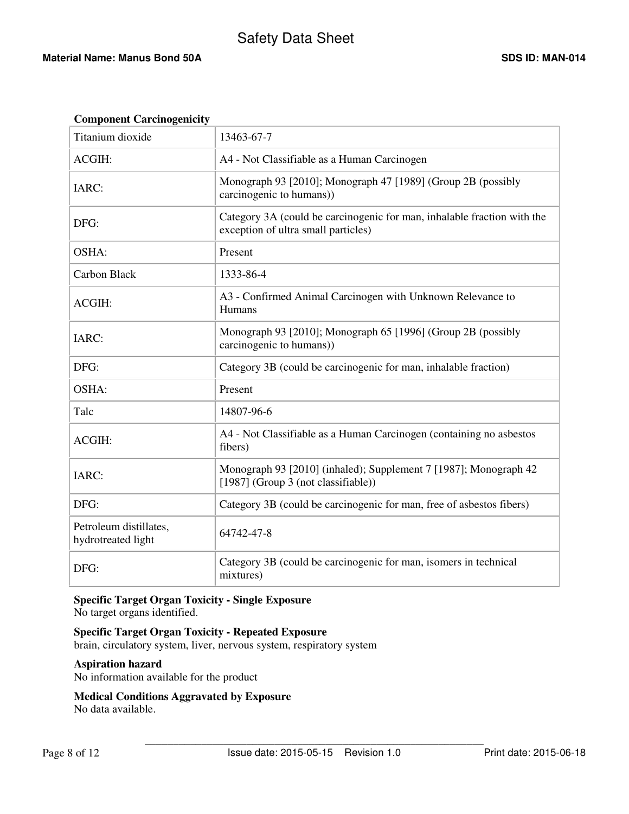# Safety Data Sheet

## **Material Name: Manus Bond 50A SDS ID: MAN-014 SDS ID: MAN-014**

| <b>Component Carcinogenicity</b>             |                                                                                                                |
|----------------------------------------------|----------------------------------------------------------------------------------------------------------------|
| Titanium dioxide                             | 13463-67-7                                                                                                     |
| <b>ACGIH:</b>                                | A4 - Not Classifiable as a Human Carcinogen                                                                    |
| IARC:                                        | Monograph 93 [2010]; Monograph 47 [1989] (Group 2B (possibly<br>carcinogenic to humans))                       |
| DFG:                                         | Category 3A (could be carcinogenic for man, inhalable fraction with the<br>exception of ultra small particles) |
| OSHA:                                        | Present                                                                                                        |
| Carbon Black                                 | 1333-86-4                                                                                                      |
| <b>ACGIH:</b>                                | A3 - Confirmed Animal Carcinogen with Unknown Relevance to<br>Humans                                           |
| IARC:                                        | Monograph 93 [2010]; Monograph 65 [1996] (Group 2B (possibly<br>carcinogenic to humans))                       |
| DFG:                                         | Category 3B (could be carcinogenic for man, inhalable fraction)                                                |
| OSHA:                                        | Present                                                                                                        |
| Talc                                         | 14807-96-6                                                                                                     |
| ACGIH:                                       | A4 - Not Classifiable as a Human Carcinogen (containing no asbestos<br>fibers)                                 |
| IARC:                                        | Monograph 93 [2010] (inhaled); Supplement 7 [1987]; Monograph 42<br>[1987] (Group 3 (not classifiable))        |
| DFG:                                         | Category 3B (could be carcinogenic for man, free of asbestos fibers)                                           |
| Petroleum distillates,<br>hydrotreated light | 64742-47-8                                                                                                     |
| DFG:                                         | Category 3B (could be carcinogenic for man, isomers in technical<br>mixtures)                                  |

# **Specific Target Organ Toxicity - Single Exposure**

No target organs identified.

# **Specific Target Organ Toxicity - Repeated Exposure**

brain, circulatory system, liver, nervous system, respiratory system

# **Aspiration hazard**

No information available for the product

# **Medical Conditions Aggravated by Exposure**

No data available.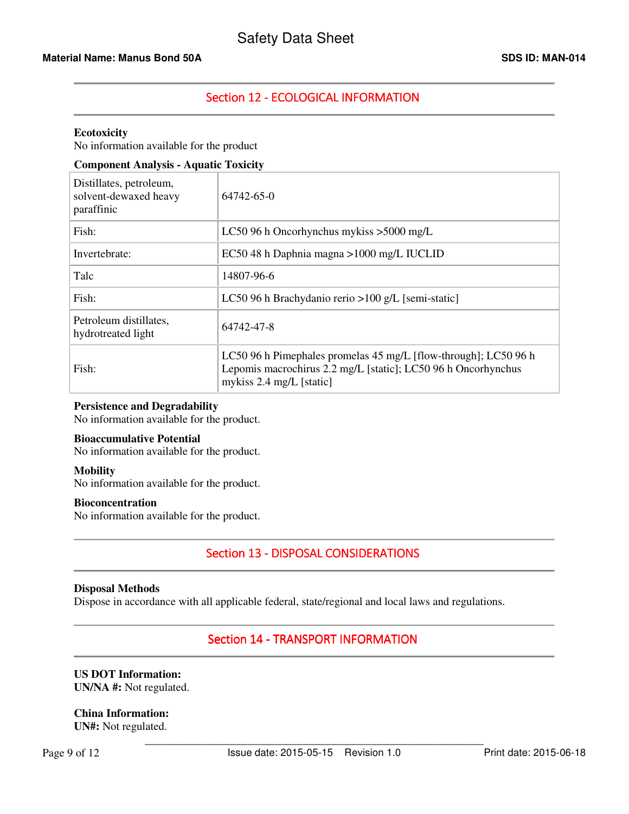# Section 12 - ECOLOGICAL INFORMATION

#### **Ecotoxicity**

No information available for the product

# **Component Analysis - Aquatic Toxicity**

| Distillates, petroleum,<br>solvent-dewaxed heavy<br>paraffinic | 64742-65-0                                                                                                                                                   |
|----------------------------------------------------------------|--------------------------------------------------------------------------------------------------------------------------------------------------------------|
| Fish:                                                          | LC50 96 h Oncorhynchus mykiss $>5000$ mg/L                                                                                                                   |
| Invertebrate:                                                  | EC50 48 h Daphnia magna > 1000 mg/L IUCLID                                                                                                                   |
| Talc                                                           | 14807-96-6                                                                                                                                                   |
| Fish:                                                          | LC50 96 h Brachydanio rerio > 100 g/L [semi-static]                                                                                                          |
| Petroleum distillates,<br>hydrotreated light                   | 64742-47-8                                                                                                                                                   |
| Fish:                                                          | LC50 96 h Pimephales promelas 45 mg/L [flow-through]; LC50 96 h<br>Lepomis macrochirus 2.2 mg/L [static]; LC50 96 h Oncorhynchus<br>mykiss 2.4 mg/L [static] |

#### **Persistence and Degradability**

No information available for the product.

#### **Bioaccumulative Potential**

No information available for the product.

#### **Mobility**

No information available for the product.

#### **Bioconcentration**

No information available for the product.

# Section 13 - DISPOSAL CONSIDERATIONS

#### **Disposal Methods**

Dispose in accordance with all applicable federal, state/regional and local laws and regulations.

# Section 14 - TRANSPORT INFORMATION

### **US DOT Information: UN/NA #:** Not regulated.

# **China Information:**

**UN#:** Not regulated.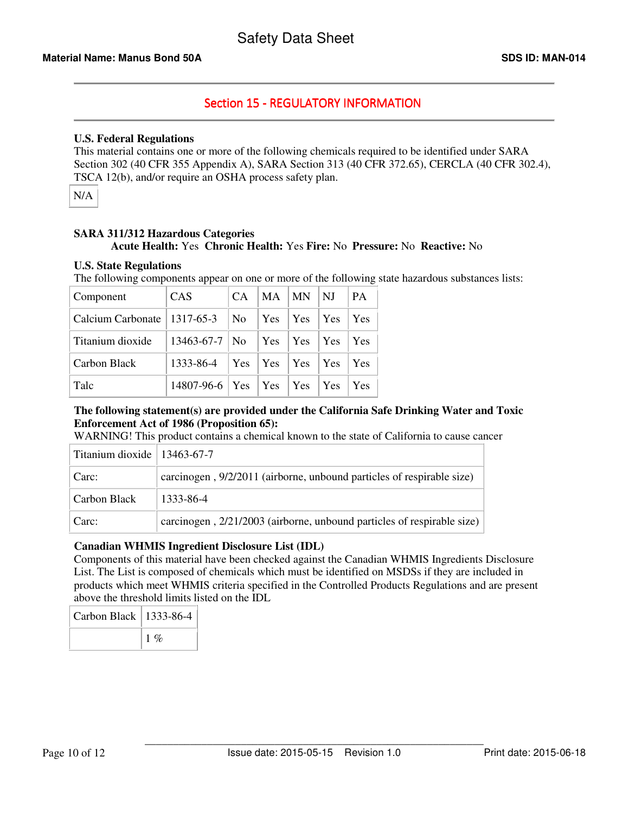# Section 15 - REGULATORY INFORMATION

# **U.S. Federal Regulations**

This material contains one or more of the following chemicals required to be identified under SARA Section 302 (40 CFR 355 Appendix A), SARA Section 313 (40 CFR 372.65), CERCLA (40 CFR 302.4), TSCA 12(b), and/or require an OSHA process safety plan.

N/A

# **SARA 311/312 Hazardous Categories**

# **Acute Health:** Yes **Chronic Health:** Yes **Fire:** No **Pressure:** No **Reactive:** No

# **U.S. State Regulations**

The following components appear on one or more of the following state hazardous substances lists:

| Component                     | CAS                                | <b>CA</b>      | $MA$   $MN$   $NJ$ | <b>PA</b>  |
|-------------------------------|------------------------------------|----------------|--------------------|------------|
| Calcium Carbonate   1317-65-3 |                                    | N <sub>o</sub> |                    | Yes        |
| Titanium dioxide              | 13463-67-7   No   Yes   Yes   Yes  |                |                    | Yes        |
| Carbon Black                  | 1333-86-4   Yes   Yes   Yes   Yes  |                |                    | <b>Yes</b> |
| Talc                          | 14807-96-6   Yes   Yes   Yes   Yes |                |                    | Yes        |

# **The following statement(s) are provided under the California Safe Drinking Water and Toxic Enforcement Act of 1986 (Proposition 65):**

WARNING! This product contains a chemical known to the state of California to cause cancer

| Titanium dioxide   $13463-67-7$ |                                                                        |
|---------------------------------|------------------------------------------------------------------------|
| Carc:                           | carcinogen, 9/2/2011 (airborne, unbound particles of respirable size)  |
| Carbon Black                    | 1333-86-4                                                              |
| Carc:                           | carcinogen, 2/21/2003 (airborne, unbound particles of respirable size) |

# **Canadian WHMIS Ingredient Disclosure List (IDL)**

Components of this material have been checked against the Canadian WHMIS Ingredients Disclosure List. The List is composed of chemicals which must be identified on MSDSs if they are included in products which meet WHMIS criteria specified in the Controlled Products Regulations and are present above the threshold limits listed on the IDL

| Carbon Black   $1333-86-4$ |        |
|----------------------------|--------|
|                            | $1 \%$ |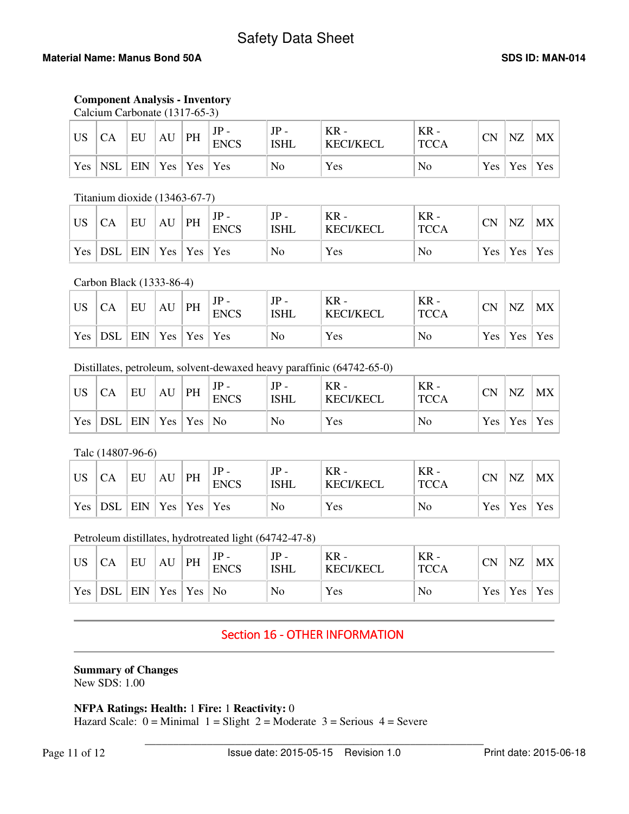# **Material Name: Manus Bond 50A SDS ID: MAN-014 SDS ID: MAN-014**

# **Component Analysis - Inventory**

| Calcium Carbonate (1317-65-3) |  |
|-------------------------------|--|
|-------------------------------|--|

| <b>US</b>  | <b>CA</b>                                                   | EU | AU | PH | $JP -$<br><b>ENCS</b> | JP<br><b>ISHL</b> | $KR -$<br><b>KECI/KECL</b> | $KR -$<br><b>TCCA</b> | <b>CN</b> | <b>NZ</b> | MX              |
|------------|-------------------------------------------------------------|----|----|----|-----------------------|-------------------|----------------------------|-----------------------|-----------|-----------|-----------------|
| $Yes \mid$ | $\vert$ NSL $\vert$ EIN $\vert$ Yes $\vert$ Yes $\vert$ Yes |    |    |    |                       | No                | Yes                        | No                    |           |           | Yes   Yes   Yes |

# Titanium dioxide (13463-67-7)

| <b>US</b> |                                                             | EU | AU | PH | JГ<br><b>ENCS</b> | <b>ISHL</b> | $KR -$<br><b>KECI/KECL</b> | $KR -$<br><b>TCCA</b> | <b>CN</b> | NZ        | MX  |
|-----------|-------------------------------------------------------------|----|----|----|-------------------|-------------|----------------------------|-----------------------|-----------|-----------|-----|
| Yes       | $\vert$ DSL $\vert$ EIN $\vert$ Yes $\vert$ Yes $\vert$ Yes |    |    |    |                   | No          | Yes                        | No                    |           | Yes   Yes | Yes |

# Carbon Black (1333-86-4)

| <b>US</b> | <b>CA</b>                     | EU | AU | PH | <b>ENCS</b> | JP<br><b>ISHL</b> | $KR -$<br><b>KECI/KECL</b> | KR<br><b>TCCA</b> | <b>CN</b> | <b>NZ</b> | $MX \mid$           |
|-----------|-------------------------------|----|----|----|-------------|-------------------|----------------------------|-------------------|-----------|-----------|---------------------|
| Yes       | $ DSL $ EIN   Yes   Yes   Yes |    |    |    |             | No                | Yes                        | No                |           | Yes   Yes | $\vert$ Yes $\vert$ |

# Distillates, petroleum, solvent-dewaxed heavy paraffinic (64742-65-0)

| <b>US</b> | СA         | EU  | AU | PH                                 | JГ<br><b>ENCS</b> | JP<br><b>ISHL</b> | KR -<br>KECI/KECL | $KR -$<br><b>TCCA</b> | <b>CN</b>        | NZ          | MX      |
|-----------|------------|-----|----|------------------------------------|-------------------|-------------------|-------------------|-----------------------|------------------|-------------|---------|
| Yes       | <b>DSL</b> | EIN |    | $\vert$ Yes $\vert$ Yes $\vert$ No |                   | No                | Yes               | No                    | Yes <sup>1</sup> | $\vert$ Yes | $'$ Yes |

# Talc (14807-96-6)

| US  | <b>CA</b>  | EU  | AU  | PH                      | JP<br><b>ENCS</b> | JP<br><b>ISHL</b> | $KR -$<br><b>KECI/KECL</b> | $KR -$<br><b>TCCA</b> | <b>CN</b> | NZ                  | MX  |
|-----|------------|-----|-----|-------------------------|-------------------|-------------------|----------------------------|-----------------------|-----------|---------------------|-----|
| Yes | <b>DSL</b> | EIN | Yes | $\vert$ Yes $\vert$ Yes |                   | No                | Yes                        | No                    |           | $Yes \mid Yes \mid$ | Yes |

# Petroleum distillates, hydrotreated light (64742-47-8)

| <b>US</b> |                              | EU | AU | PH | <b>ENCS</b> | <b>ISHL</b> | $KR -$<br><b>KECI/KECL</b> | $KR -$<br><b>TCCA</b> | <b>CN</b> | <b>NZ</b>        | MX  |
|-----------|------------------------------|----|----|----|-------------|-------------|----------------------------|-----------------------|-----------|------------------|-----|
| Yes       | $DSL$   EIN   Yes   Yes   No |    |    |    |             | No          | Yes                        | No                    |           | $Yes \nvert Yes$ | Yes |

# Section 16 - OTHER INFORMATION

#### **Summary of Changes**  New SDS: 1.00

**NFPA Ratings: Health:** 1 **Fire:** 1 **Reactivity:** 0

Hazard Scale:  $0 =$  Minimal  $1 =$  Slight  $2 =$  Moderate  $3 =$  Serious  $4 =$  Severe